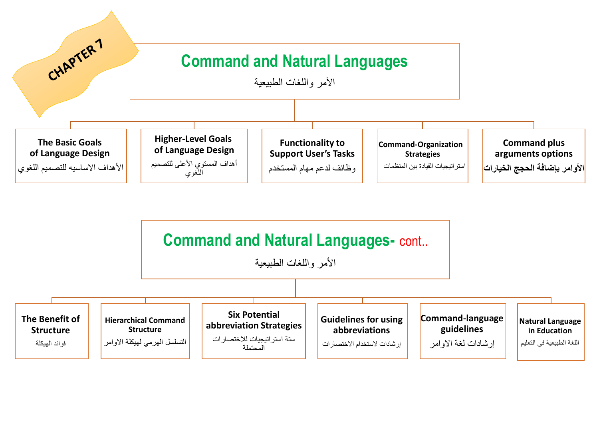

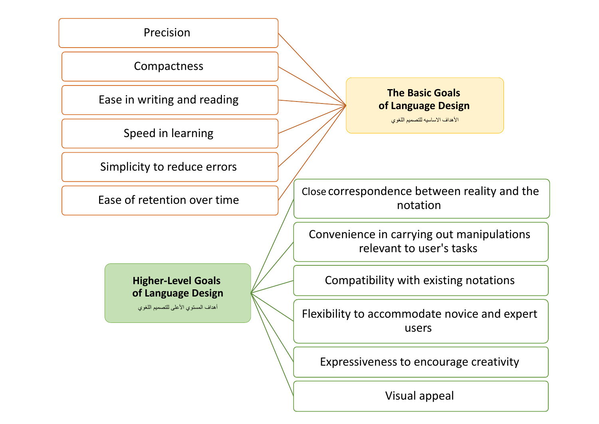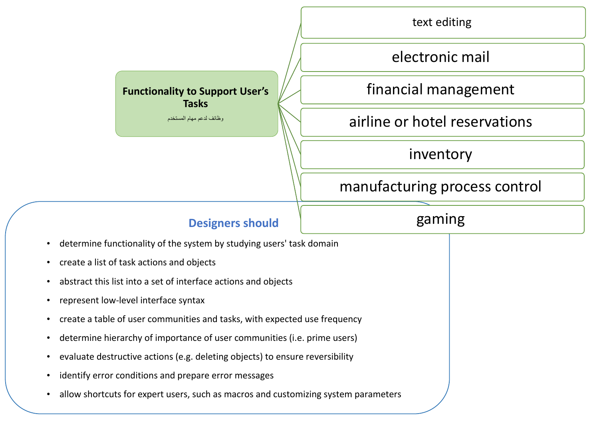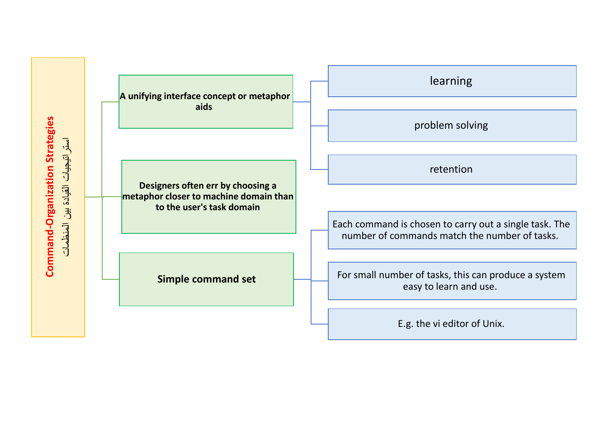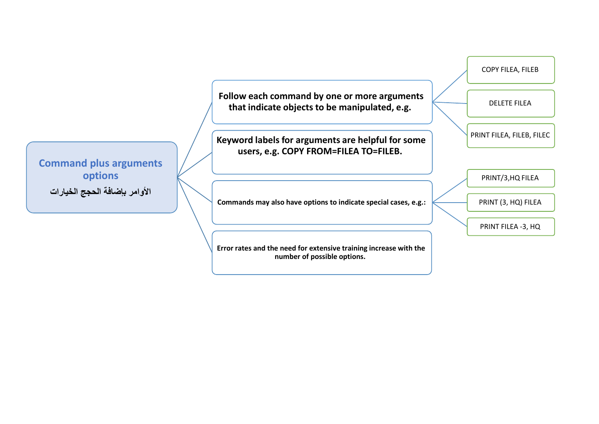COPY FILEA, FILEB

DELETE FILEA

**Follow each command by one or more arguments that indicate objects to be manipulated, e.g.** 

**PRINT FILEA, FILEB, FILEC Keyword labels for arguments are helpful for some and are present prints are helpful for some users, e.g. COPY FROM=FILEA TO=FILEB.** 

**Commands may also have options to indicate special cases, e.g.:** 

**Error rates and the need for extensive training increase with the number of possible options.** 

PRINT/3,HQ FILEA

PRINT (3, HQ) FILEA

PRINT FILEA -3, HQ

**Command plus arguments options األوامر بإضافة الحجج الخيارات**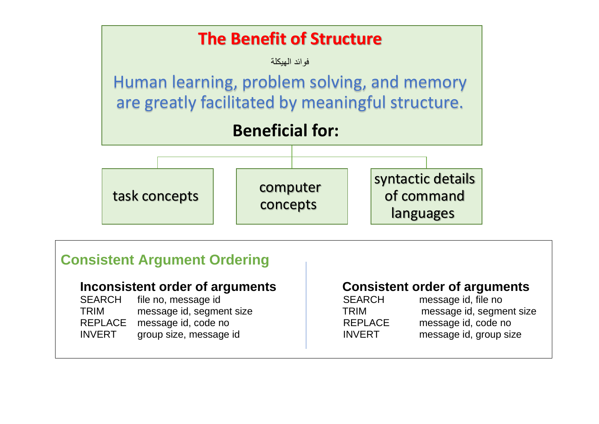

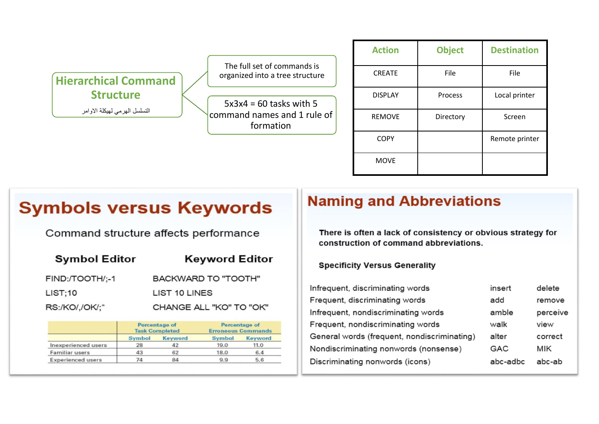

The full set of commands is organized into a tree structure

 $5x3x4 = 60$  tasks with 5 command names and 1 rule of formation

| <b>Action</b>  | <b>Object</b> | <b>Destination</b> |  |
|----------------|---------------|--------------------|--|
| <b>CREATE</b>  | File          | File               |  |
| <b>DISPLAY</b> | Process       | Local printer      |  |
| <b>REMOVE</b>  | Directory     | Screen             |  |
| <b>COPY</b>    |               | Remote printer     |  |
| <b>MOVE</b>    |               |                    |  |

# **Symbols versus Keywords**

Command structure affects performance

| <b>Symbol Editor</b> | <b>Keyword Editor</b>      |
|----------------------|----------------------------|
| FIND:/TOOTH/;-1      | <b>BACKWARD TO "TOOTH"</b> |
| LIST:10              | LIST 10 LINES              |
| RS:/KO/,/OK/;*       | CHANGE ALL "KO" TO "OK"    |

|                          | <b>Percentage of</b><br><b>Task Completed</b> |                | Percentage of<br><b>Erroneous Commands</b> |                |
|--------------------------|-----------------------------------------------|----------------|--------------------------------------------|----------------|
|                          | <b>Symbol</b>                                 | <b>Keyword</b> | <b>Symbol</b>                              | <b>Keyword</b> |
| Inexperienced users      | 28                                            | 42             | 19.0                                       | 11.0           |
| Familiar users           | 43                                            | 62             | 18.0                                       | 6.4            |
| <b>Experienced users</b> | 74                                            | 84             | 9.9                                        | 5.6            |

## **Naming and Abbreviations**

There is often a lack of consistency or obvious strategy for construction of command abbreviations.

**Specificity Versus Generality** 

| Infrequent, discriminating words            | insert     | delete     |
|---------------------------------------------|------------|------------|
| Frequent, discriminating words              | add        | remove     |
| Infrequent, nondiscriminating words         | amble      | perceive   |
| Frequent, nondiscriminating words           | walk       | view       |
| General words (frequent, nondiscriminating) | alter      | correct    |
| Nondiscriminating nonwords (nonsense)       | <b>GAC</b> | <b>MIK</b> |
| Discriminating nonwords (icons)             | abc-adbc   | abc-ab     |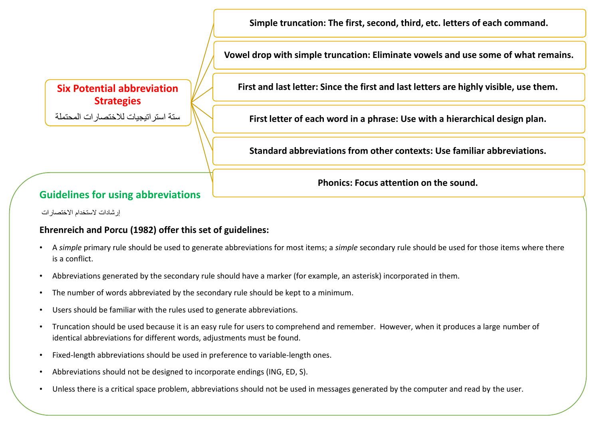**Simple truncation: The first, second, third, etc. letters of each command.** 

**Vowel drop with simple truncation: Eliminate vowels and use some of what remains.** 

### **Six Potential abbreviation Strategies**

ستة استراتيجيات لالختصارات المحتملة

**First and last letter: Since the first and last letters are highly visible, use them.** 

**First letter of each word in a phrase: Use with a hierarchical design plan.** 

**Standard abbreviations from other contexts: Use familiar abbreviations.** 

**Phonics: Focus attention on the sound.** 

### **Guidelines for using abbreviations**

إر شادات لاستخدام الاختصار ات

#### **Ehrenreich and Porcu (1982) offer this set of guidelines:**

- A *simple* primary rule should be used to generate abbreviations for most items; a *simple* secondary rule should be used for those items where there is a conflict.
- Abbreviations generated by the secondary rule should have a marker (for example, an asterisk) incorporated in them.
- The number of words abbreviated by the secondary rule should be kept to a minimum.
- Users should be familiar with the rules used to generate abbreviations.
- Truncation should be used because it is an easy rule for users to comprehend and remember. However, when it produces a large number of identical abbreviations for different words, adjustments must be found.
- Fixed-length abbreviations should be used in preference to variable-length ones.
- Abbreviations should not be designed to incorporate endings (ING, ED, S).
- Unless there is a critical space problem, abbreviations should not be used in messages generated by the computer and read by the user.